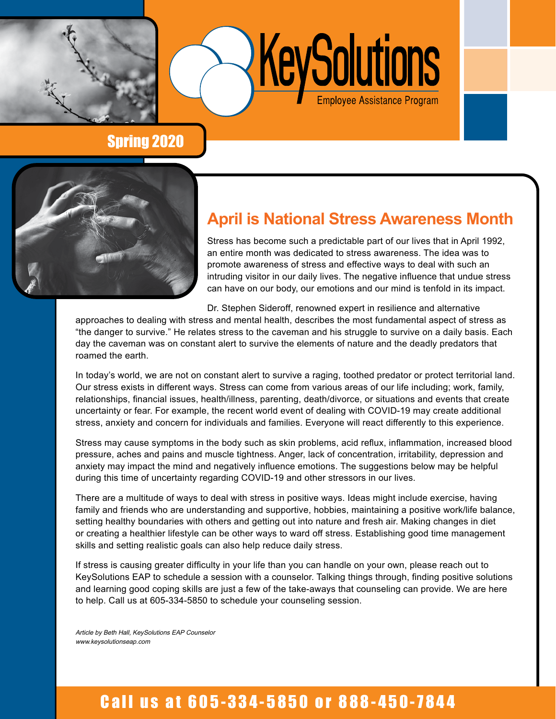

KeySolutions

# Spring 2020



# **April is National Stress Awareness Month**

Stress has become such a predictable part of our lives that in April 1992, an entire month was dedicated to stress awareness. The idea was to promote awareness of stress and effective ways to deal with such an intruding visitor in our daily lives. The negative influence that undue stress can have on our body, our emotions and our mind is tenfold in its impact.

Dr. Stephen Sideroff, renowned expert in resilience and alternative

approaches to dealing with stress and mental health, describes the most fundamental aspect of stress as "the danger to survive." He relates stress to the caveman and his struggle to survive on a daily basis. Each day the caveman was on constant alert to survive the elements of nature and the deadly predators that roamed the earth.

In today's world, we are not on constant alert to survive a raging, toothed predator or protect territorial land. Our stress exists in different ways. Stress can come from various areas of our life including; work, family, relationships, financial issues, health/illness, parenting, death/divorce, or situations and events that create uncertainty or fear. For example, the recent world event of dealing with COVID-19 may create additional stress, anxiety and concern for individuals and families. Everyone will react differently to this experience.

Stress may cause symptoms in the body such as skin problems, acid reflux, inflammation, increased blood pressure, aches and pains and muscle tightness. Anger, lack of concentration, irritability, depression and anxiety may impact the mind and negatively influence emotions. The suggestions below may be helpful during this time of uncertainty regarding COVID-19 and other stressors in our lives.

There are a multitude of ways to deal with stress in positive ways. Ideas might include exercise, having family and friends who are understanding and supportive, hobbies, maintaining a positive work/life balance, setting healthy boundaries with others and getting out into nature and fresh air. Making changes in diet or creating a healthier lifestyle can be other ways to ward off stress. Establishing good time management skills and setting realistic goals can also help reduce daily stress.

If stress is causing greater difficulty in your life than you can handle on your own, please reach out to KeySolutions EAP to schedule a session with a counselor. Talking things through, finding positive solutions and learning good coping skills are just a few of the take-aways that counseling can provide. We are here to help. Call us at 605-334-5850 to schedule your counseling session.

Article by Beth Hall, KeySolutions EAP Counselor www.keysolutionseap.com

# Call us at 605-334-5850 or 888-450-7844